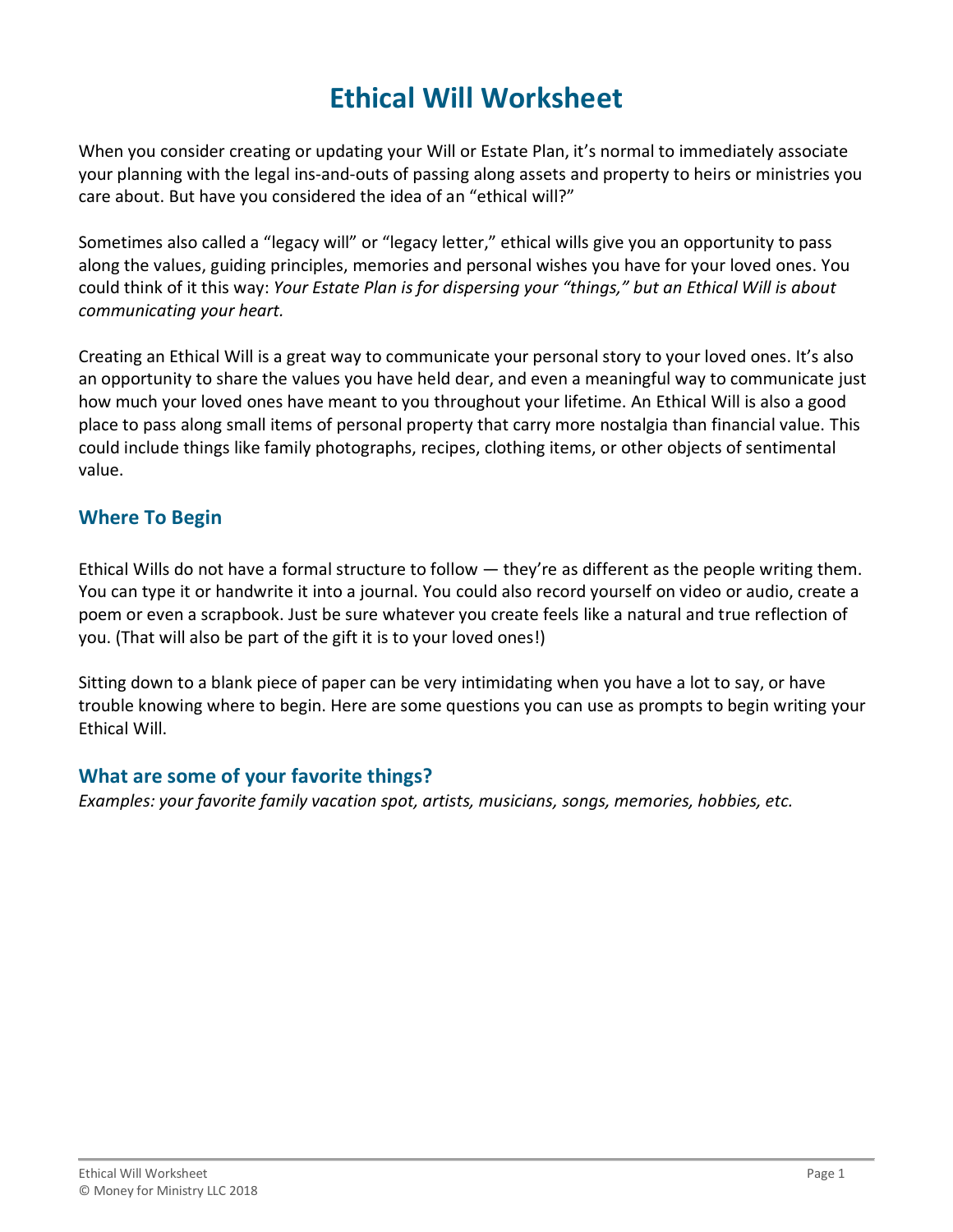# **Ethical Will Worksheet**

When you consider creating or updating your Will or Estate Plan, it's normal to immediately associate your planning with the legal ins-and-outs of passing along assets and property to heirs or ministries you care about. But have you considered the idea of an "ethical will?"

Sometimes also called a "legacy will" or "legacy letter," ethical wills give you an opportunity to pass along the values, guiding principles, memories and personal wishes you have for your loved ones. You could think of it this way: *Your Estate Plan is for dispersing your "things," but an Ethical Will is about communicating your heart.*

Creating an Ethical Will is a great way to communicate your personal story to your loved ones. It's also an opportunity to share the values you have held dear, and even a meaningful way to communicate just how much your loved ones have meant to you throughout your lifetime. An Ethical Will is also a good place to pass along small items of personal property that carry more nostalgia than financial value. This could include things like family photographs, recipes, clothing items, or other objects of sentimental value.

## **Where To Begin**

Ethical Wills do not have a formal structure to follow — they're as different as the people writing them. You can type it or handwrite it into a journal. You could also record yourself on video or audio, create a poem or even a scrapbook. Just be sure whatever you create feels like a natural and true reflection of you. (That will also be part of the gift it is to your loved ones!)

Sitting down to a blank piece of paper can be very intimidating when you have a lot to say, or have trouble knowing where to begin. Here are some questions you can use as prompts to begin writing your Ethical Will.

## **What are some of your favorite things?**

*Examples: your favorite family vacation spot, artists, musicians, songs, memories, hobbies, etc.*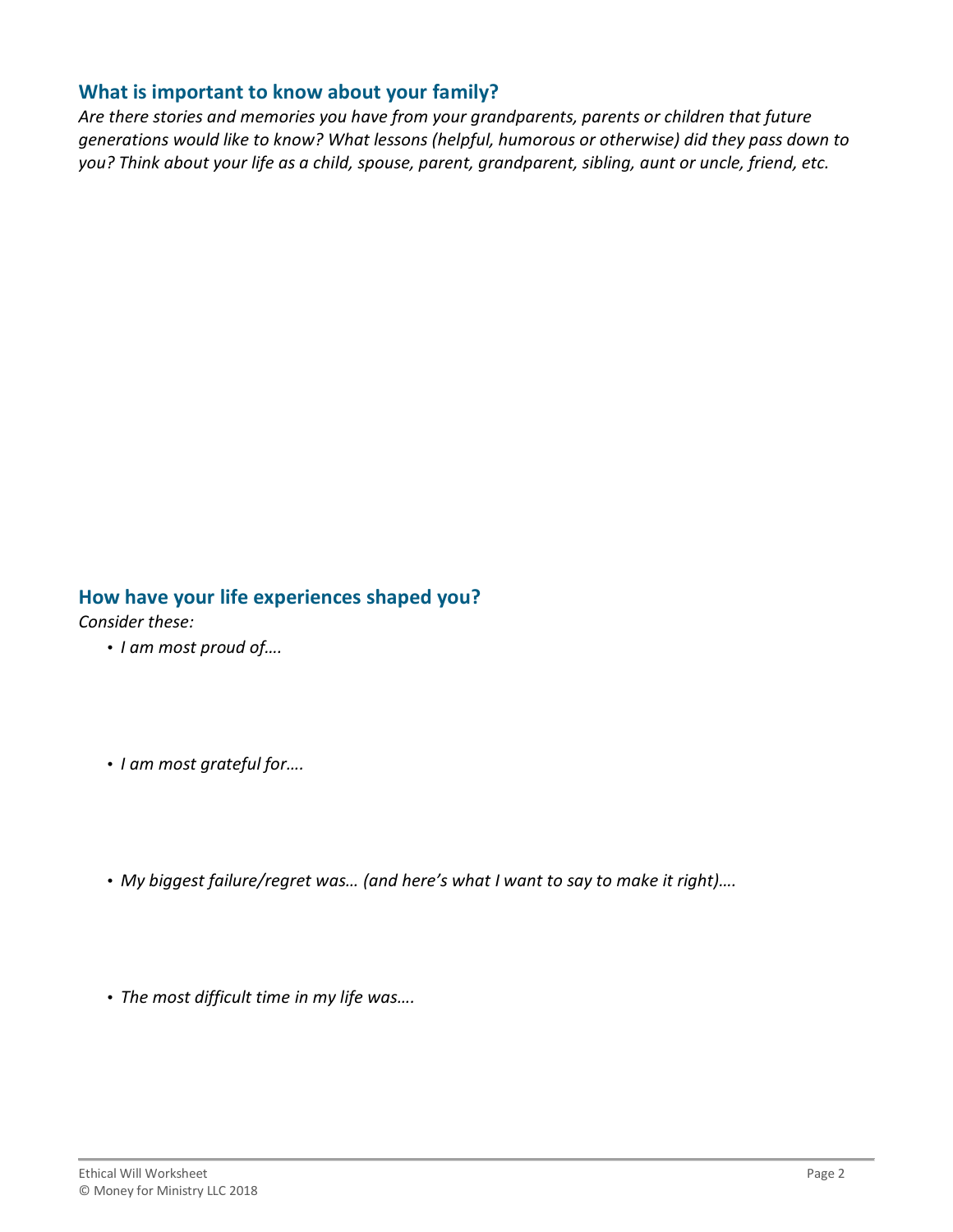#### **What is important to know about your family?**

*Are there stories and memories you have from your grandparents, parents or children that future generations would like to know? What lessons (helpful, humorous or otherwise) did they pass down to you? Think about your life as a child, spouse, parent, grandparent, sibling, aunt or uncle, friend, etc.*

## **How have your life experiences shaped you?**

*Consider these:*

- *I am most proud of….*
- *I am most grateful for….*
- *My biggest failure/regret was… (and here's what I want to say to make it right)….*
- *The most difficult time in my life was….*